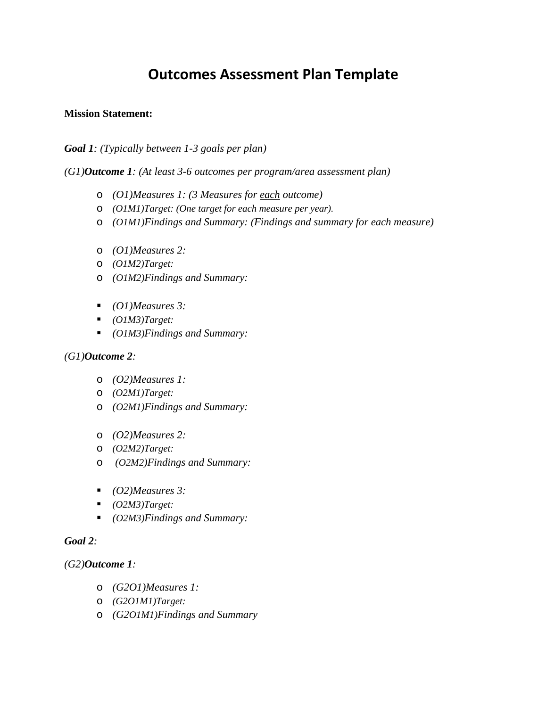# **Outcomes Assessment Plan Template**

# **Mission Statement:**

*Goal 1: (Typically between 1-3 goals per plan)*

*(G1)Outcome 1: (At least 3-6 outcomes per program/area assessment plan)*

- o *(O1)Measures 1: (3 Measures for each outcome)*
- o *(O1M1)Target: (One target for each measure per year).*
- o *(O1M1)Findings and Summary: (Findings and summary for each measure)*
- o *(O1)Measures 2:*
- o *(O1M2)Target:*
- o *(O1M2)Findings and Summary:*
- *(O1)Measures 3:*
- *(O1M3)Target:*
- *(O1M3)Findings and Summary:*

# *(G1)Outcome 2:*

- o *(O2)Measures 1:*
- o *(O2M1)Target:*
- o *(O2M1)Findings and Summary:*
- o *(O2)Measures 2:*
- o *(O2M2)Target:*
- o *(O2M2)Findings and Summary:*
- *(O2)Measures 3:*
- *(O2M3)Target:*
- *(O2M3)Findings and Summary:*

#### *Goal 2:*

# *(G2)Outcome 1:*

- o *(G2O1)Measures 1:*
- o *(G2O1M1)Target:*
- o *(G2O1M1)Findings and Summary*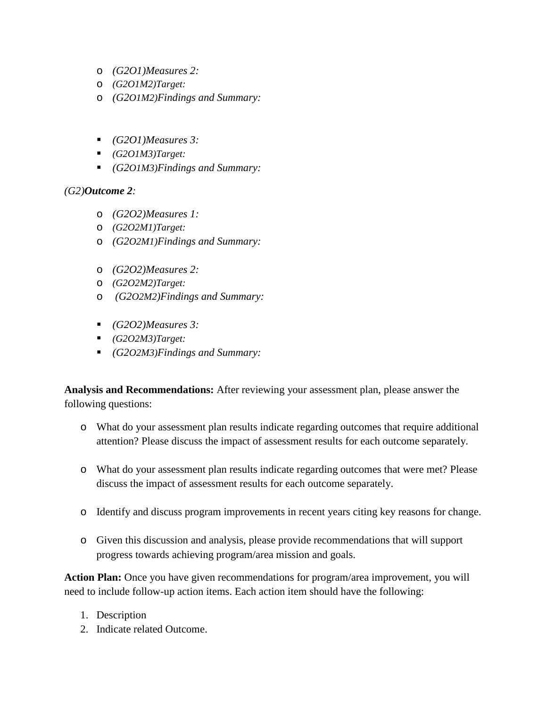- o *(G2O1)Measures 2:*
- o *(G2O1M2)Target:*
- o *(G2O1M2)Findings and Summary:*
- *(G2O1)Measures 3:*
- *(G2O1M3)Target:*
- *(G2O1M3)Findings and Summary:*

# *(G2)Outcome 2:*

- o *(G2O2)Measures 1:*
- o *(G2O2M1)Target:*
- o *(G2O2M1)Findings and Summary:*
- o *(G2O2)Measures 2:*
- o *(G2O2M2)Target:*
- o *(G2O2M2)Findings and Summary:*
- *(G2O2)Measures 3:*
- *(G2O2M3)Target:*
- *(G2O2M3)Findings and Summary:*

**Analysis and Recommendations:** After reviewing your assessment plan, please answer the following questions:

- o What do your assessment plan results indicate regarding outcomes that require additional attention? Please discuss the impact of assessment results for each outcome separately.
- o What do your assessment plan results indicate regarding outcomes that were met? Please discuss the impact of assessment results for each outcome separately.
- o Identify and discuss program improvements in recent years citing key reasons for change.
- o Given this discussion and analysis, please provide recommendations that will support progress towards achieving program/area mission and goals.

**Action Plan:** Once you have given recommendations for program/area improvement, you will need to include follow-up action items. Each action item should have the following:

- 1. Description
- 2. Indicate related Outcome.